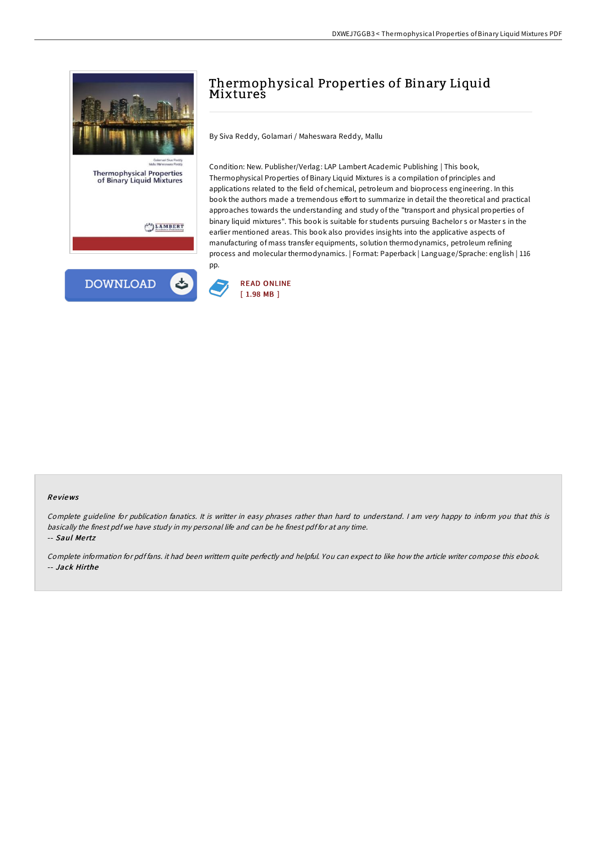

# Thermophysical Properties of Binary Liquid Mixtures

By Siva Reddy, Golamari / Maheswara Reddy, Mallu

Condition: New. Publisher/Verlag: LAP Lambert Academic Publishing | This book, Thermophysical Properties of Binary Liquid Mixtures is a compilation of principles and applications related to the field of chemical, petroleum and bioprocess engineering. In this book the authors made a tremendous effort to summarize in detail the theoretical and practical approaches towards the understanding and study of the "transport and physical properties of binary liquid mixtures". This book is suitable for students pursuing Bachelor s or Master s in the earlier mentioned areas. This book also provides insights into the applicative aspects of manufacturing of mass transfer equipments, solution thermodynamics, petroleum refining process and molecular thermodynamics. | Format: Paperback | Language/Sprache: english | 116 pp.



#### Re views

Complete guideline for publication fanatics. It is writter in easy phrases rather than hard to understand. <sup>I</sup> am very happy to inform you that this is basically the finest pdf we have study in my personal life and can be he finest pdf for at any time. -- Saul Mertz

Complete information for pdf fans. it had been writtern quite perfectly and helpful. You can expect to like how the article writer compose this ebook. -- Jack Hirthe